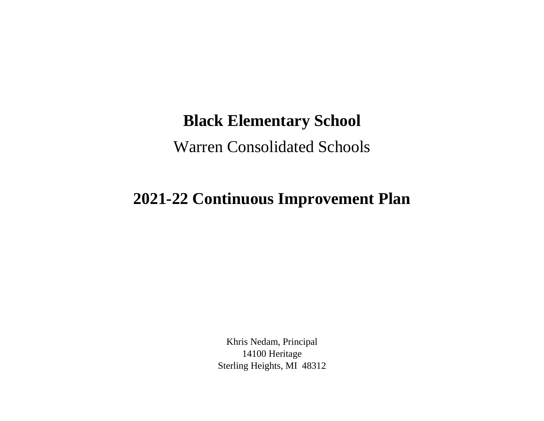## **Black Elementary School**

Warren Consolidated Schools

## **2021-22 Continuous Improvement Plan**

Khris Nedam, Principal 14100 Heritage Sterling Heights, MI 48312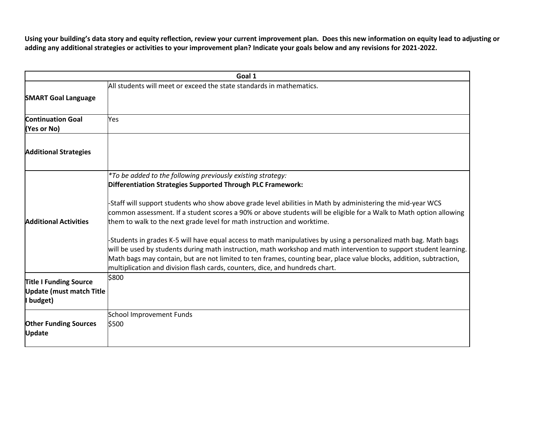**Using your building's data story and equity reflection, review your current improvement plan. Does this new information on equity lead to adjusting or adding any additional strategies or activities to your improvement plan? Indicate your goals below and any revisions for 2021-2022.**

|                                                                               | Goal 1                                                                                                                                                                                                                                                                                                                                                                                                                                                                                                                                                                                                                                                                                                                                                                                                                                                                                      |
|-------------------------------------------------------------------------------|---------------------------------------------------------------------------------------------------------------------------------------------------------------------------------------------------------------------------------------------------------------------------------------------------------------------------------------------------------------------------------------------------------------------------------------------------------------------------------------------------------------------------------------------------------------------------------------------------------------------------------------------------------------------------------------------------------------------------------------------------------------------------------------------------------------------------------------------------------------------------------------------|
| <b>SMART Goal Language</b>                                                    | All students will meet or exceed the state standards in mathematics.                                                                                                                                                                                                                                                                                                                                                                                                                                                                                                                                                                                                                                                                                                                                                                                                                        |
| <b>Continuation Goal</b><br>(Yes or No)                                       | Yes                                                                                                                                                                                                                                                                                                                                                                                                                                                                                                                                                                                                                                                                                                                                                                                                                                                                                         |
| <b>Additional Strategies</b>                                                  |                                                                                                                                                                                                                                                                                                                                                                                                                                                                                                                                                                                                                                                                                                                                                                                                                                                                                             |
| <b>Additional Activities</b>                                                  | *To be added to the following previously existing strategy:<br>Differentiation Strategies Supported Through PLC Framework:<br>-Staff will support students who show above grade level abilities in Math by administering the mid-year WCS<br>common assessment. If a student scores a 90% or above students will be eligible for a Walk to Math option allowing<br>them to walk to the next grade level for math instruction and worktime.<br>-Students in grades K-5 will have equal access to math manipulatives by using a personalized math bag. Math bags<br>will be used by students during math instruction, math workshop and math intervention to support student learning.<br>Math bags may contain, but are not limited to ten frames, counting bear, place value blocks, addition, subtraction,<br>multiplication and division flash cards, counters, dice, and hundreds chart. |
| <b>Title I Funding Source</b><br><b>Update (must match Title</b><br>I budget) | \$800                                                                                                                                                                                                                                                                                                                                                                                                                                                                                                                                                                                                                                                                                                                                                                                                                                                                                       |
| <b>Other Funding Sources</b><br><b>Update</b>                                 | School Improvement Funds<br>\$500                                                                                                                                                                                                                                                                                                                                                                                                                                                                                                                                                                                                                                                                                                                                                                                                                                                           |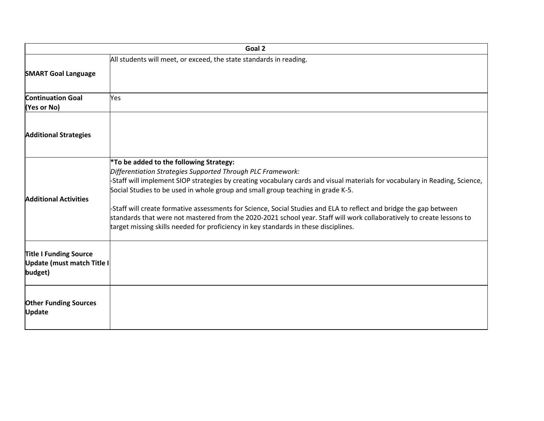|                                                                        | Goal 2                                                                                                                                                                                                                                                                                                                                                                                                                                                                                                                                                                                                                                                                     |
|------------------------------------------------------------------------|----------------------------------------------------------------------------------------------------------------------------------------------------------------------------------------------------------------------------------------------------------------------------------------------------------------------------------------------------------------------------------------------------------------------------------------------------------------------------------------------------------------------------------------------------------------------------------------------------------------------------------------------------------------------------|
|                                                                        | All students will meet, or exceed, the state standards in reading.                                                                                                                                                                                                                                                                                                                                                                                                                                                                                                                                                                                                         |
| <b>SMART Goal Language</b>                                             |                                                                                                                                                                                                                                                                                                                                                                                                                                                                                                                                                                                                                                                                            |
| <b>Continuation Goal</b><br>(Yes or No)                                | <b>Yes</b>                                                                                                                                                                                                                                                                                                                                                                                                                                                                                                                                                                                                                                                                 |
| <b>Additional Strategies</b>                                           |                                                                                                                                                                                                                                                                                                                                                                                                                                                                                                                                                                                                                                                                            |
| <b>Additional Activities</b>                                           | <sup>*</sup> To be added to the following Strategy:<br>Differentiation Strategies Supported Through PLC Framework:<br>-Staff will implement SIOP strategies by creating vocabulary cards and visual materials for vocabulary in Reading, Science,<br>Social Studies to be used in whole group and small group teaching in grade K-5.<br>-Staff will create formative assessments for Science, Social Studies and ELA to reflect and bridge the gap between<br>standards that were not mastered from the 2020-2021 school year. Staff will work collaboratively to create lessons to<br>target missing skills needed for proficiency in key standards in these disciplines. |
| <b>Title I Funding Source</b><br>Update (must match Title I<br>budget) |                                                                                                                                                                                                                                                                                                                                                                                                                                                                                                                                                                                                                                                                            |
| <b>Other Funding Sources</b><br><b>Update</b>                          |                                                                                                                                                                                                                                                                                                                                                                                                                                                                                                                                                                                                                                                                            |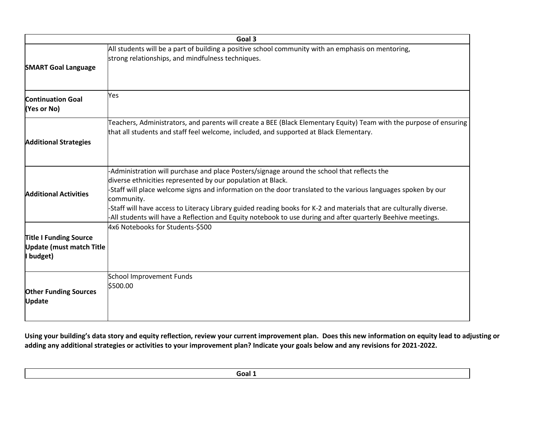| Goal 3                                                                      |                                                                                                                                                                                                                                                                                                                                                                                                                                                                                                                                  |
|-----------------------------------------------------------------------------|----------------------------------------------------------------------------------------------------------------------------------------------------------------------------------------------------------------------------------------------------------------------------------------------------------------------------------------------------------------------------------------------------------------------------------------------------------------------------------------------------------------------------------|
| <b>SMART Goal Language</b>                                                  | All students will be a part of building a positive school community with an emphasis on mentoring,<br>strong relationships, and mindfulness techniques.                                                                                                                                                                                                                                                                                                                                                                          |
| <b>Continuation Goal</b><br>(Yes or No)                                     | Yes                                                                                                                                                                                                                                                                                                                                                                                                                                                                                                                              |
| <b>Additional Strategies</b>                                                | Teachers, Administrators, and parents will create a BEE (Black Elementary Equity) Team with the purpose of ensuring<br>that all students and staff feel welcome, included, and supported at Black Elementary.                                                                                                                                                                                                                                                                                                                    |
| <b>Additional Activities</b>                                                | -Administration will purchase and place Posters/signage around the school that reflects the<br>diverse ethnicities represented by our population at Black.<br>-Staff will place welcome signs and information on the door translated to the various languages spoken by our<br>community.<br>-Staff will have access to Literacy Library guided reading books for K-2 and materials that are culturally diverse.<br>-All students will have a Reflection and Equity notebook to use during and after quarterly Beehive meetings. |
| <b>Title I Funding Source</b><br><b>Update (must match Title</b><br>budget) | 4x6 Notebooks for Students-\$500                                                                                                                                                                                                                                                                                                                                                                                                                                                                                                 |
| <b>Other Funding Sources</b><br><b>Update</b>                               | School Improvement Funds<br>\$500.00                                                                                                                                                                                                                                                                                                                                                                                                                                                                                             |

**Using your building's data story and equity reflection, review your current improvement plan. Does this new information on equity lead to adjusting or adding any additional strategies or activities to your improvement plan? Indicate your goals below and any revisions for 2021-2022.**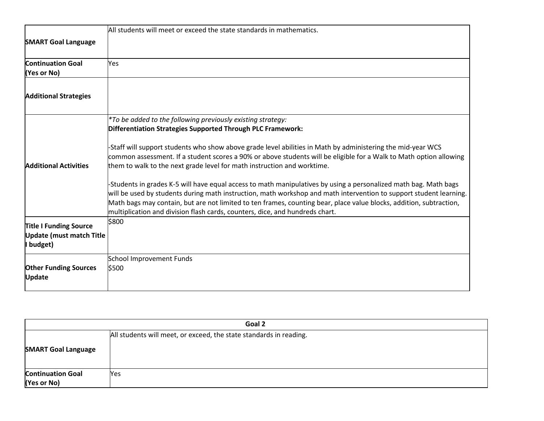|                                                                               | All students will meet or exceed the state standards in mathematics.                                                                                                                                                                                                                                                                                                                                                                          |
|-------------------------------------------------------------------------------|-----------------------------------------------------------------------------------------------------------------------------------------------------------------------------------------------------------------------------------------------------------------------------------------------------------------------------------------------------------------------------------------------------------------------------------------------|
| <b>SMART Goal Language</b>                                                    |                                                                                                                                                                                                                                                                                                                                                                                                                                               |
| <b>Continuation Goal</b><br>(Yes or No)                                       | Yes                                                                                                                                                                                                                                                                                                                                                                                                                                           |
| <b>Additional Strategies</b>                                                  |                                                                                                                                                                                                                                                                                                                                                                                                                                               |
|                                                                               | *To be added to the following previously existing strategy:<br>Differentiation Strategies Supported Through PLC Framework:                                                                                                                                                                                                                                                                                                                    |
| <b>Additional Activities</b>                                                  | -Staff will support students who show above grade level abilities in Math by administering the mid-year WCS<br>common assessment. If a student scores a 90% or above students will be eligible for a Walk to Math option allowing<br>them to walk to the next grade level for math instruction and worktime.                                                                                                                                  |
|                                                                               | -Students in grades K-5 will have equal access to math manipulatives by using a personalized math bag. Math bags<br>will be used by students during math instruction, math workshop and math intervention to support student learning.<br>Math bags may contain, but are not limited to ten frames, counting bear, place value blocks, addition, subtraction,<br>multiplication and division flash cards, counters, dice, and hundreds chart. |
| <b>Title I Funding Source</b><br><b>Update (must match Title</b><br>I budget) | \$800                                                                                                                                                                                                                                                                                                                                                                                                                                         |
| <b>Other Funding Sources</b><br><b>Update</b>                                 | School Improvement Funds<br>\$500                                                                                                                                                                                                                                                                                                                                                                                                             |

| Goal 2                     |                                                                    |
|----------------------------|--------------------------------------------------------------------|
|                            | All students will meet, or exceed, the state standards in reading. |
| <b>SMART Goal Language</b> |                                                                    |
| <b>Continuation Goal</b>   | Yes                                                                |
| (Yes or No)                |                                                                    |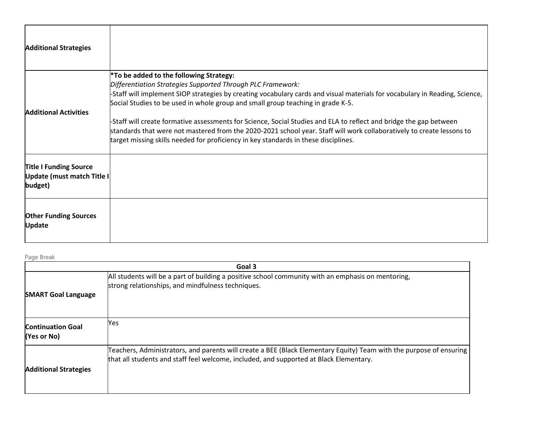| <b>Additional Strategies</b>                                           |                                                                                                                                                                                                                                                                                                                                                                                                                                                                                                                                                                                                                                                                            |
|------------------------------------------------------------------------|----------------------------------------------------------------------------------------------------------------------------------------------------------------------------------------------------------------------------------------------------------------------------------------------------------------------------------------------------------------------------------------------------------------------------------------------------------------------------------------------------------------------------------------------------------------------------------------------------------------------------------------------------------------------------|
| <b>Additional Activities</b>                                           | <sup>*</sup> To be added to the following Strategy:<br>Differentiation Strategies Supported Through PLC Framework:<br>-Staff will implement SIOP strategies by creating vocabulary cards and visual materials for vocabulary in Reading, Science,<br>Social Studies to be used in whole group and small group teaching in grade K-5.<br>-Staff will create formative assessments for Science, Social Studies and ELA to reflect and bridge the gap between<br>standards that were not mastered from the 2020-2021 school year. Staff will work collaboratively to create lessons to<br>target missing skills needed for proficiency in key standards in these disciplines. |
| <b>Title I Funding Source</b><br>Update (must match Title I<br>budget) |                                                                                                                                                                                                                                                                                                                                                                                                                                                                                                                                                                                                                                                                            |
| <b>Other Funding Sources</b><br><b>Update</b>                          |                                                                                                                                                                                                                                                                                                                                                                                                                                                                                                                                                                                                                                                                            |

Page Break

| Goal 3                                    |                                                                                                                                                                                                                   |
|-------------------------------------------|-------------------------------------------------------------------------------------------------------------------------------------------------------------------------------------------------------------------|
| <b>SMART Goal Language</b>                | All students will be a part of building a positive school community with an emphasis on mentoring,<br>strong relationships, and mindfulness techniques.                                                           |
| <b>Continuation Goal</b><br>$(Yes$ or No) | Yes                                                                                                                                                                                                               |
| <b>Additional Strategies</b>              | Teachers, Administrators, and parents will create a BEE (Black Elementary Equity) Team with the purpose of ensuring $ $<br>that all students and staff feel welcome, included, and supported at Black Elementary. |